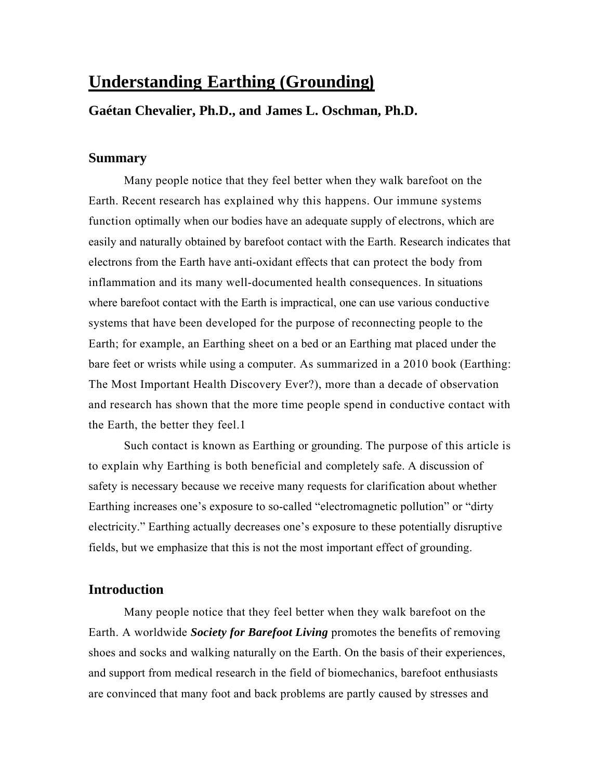# **Understanding Earthing (Grounding)**

## **Gaétan Chevalier, Ph.D., and James L. Oschman, Ph.D.**

### **Summary**

Many people notice that they feel better when they walk barefoot on the Earth. Recent research has explained why this happens. Our immune systems function optimally when our bodies have an adequate supply of electrons, which are easily and naturally obtained by barefoot contact with the Earth. Research indicates that electrons from the Earth have anti-oxidant effects that can protect the body from inflammation and its many well-documented health consequences. In situations where barefoot contact with the Earth is impractical, one can use various conductive systems that have been developed for the purpose of reconnecting people to the Earth; for example, an Earthing sheet on a bed or an Earthing mat placed under the bare feet or wrists while using a computer. As summarized in a 2010 book (Earthing: The Most Important Health Discovery Ever?), more than a decade of observation and research has shown that the more time people spend in conductive contact with the Earth, the better they feel.1

Such contact is known as Earthing or grounding. The purpose of this article is to explain why Earthing is both beneficial and completely safe. A discussion of safety is necessary because we receive many requests for clarification about whether Earthing increases one's exposure to so-called "electromagnetic pollution" or "dirty electricity." Earthing actually decreases one's exposure to these potentially disruptive fields, but we emphasize that this is not the most important effect of grounding.

## **Introduction**

Many people notice that they feel better when they walk barefoot on the Earth. A worldwide *Society for Barefoot Living* promotes the benefits of removing shoes and socks and walking naturally on the Earth. On the basis of their experiences, and support from medical research in the field of biomechanics, barefoot enthusiasts are convinced that many foot and back problems are partly caused by stresses and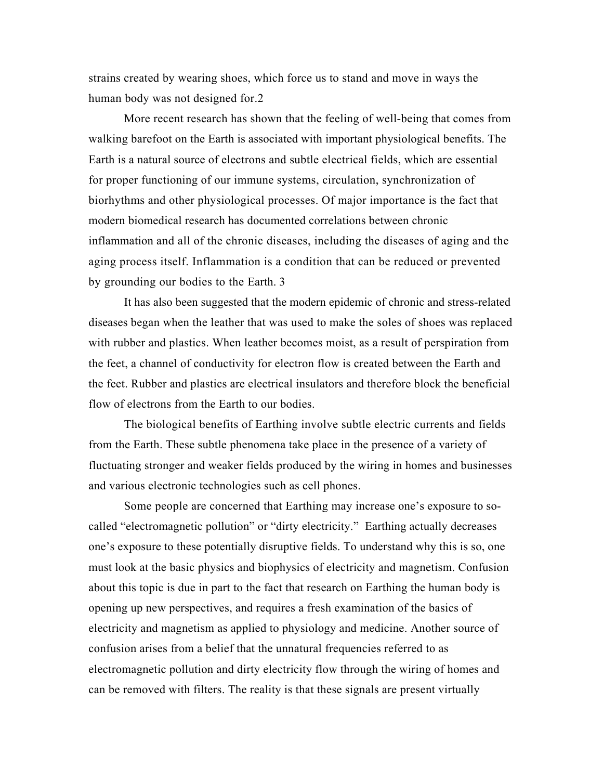strains created by wearing shoes, which force us to stand and move in ways the human body was not designed for.2

More recent research has shown that the feeling of well-being that comes from walking barefoot on the Earth is associated with important physiological benefits. The Earth is a natural source of electrons and subtle electrical fields, which are essential for proper functioning of our immune systems, circulation, synchronization of biorhythms and other physiological processes. Of major importance is the fact that modern biomedical research has documented correlations between chronic inflammation and all of the chronic diseases, including the diseases of aging and the aging process itself. Inflammation is a condition that can be reduced or prevented by grounding our bodies to the Earth. 3

It has also been suggested that the modern epidemic of chronic and stress-related diseases began when the leather that was used to make the soles of shoes was replaced with rubber and plastics. When leather becomes moist, as a result of perspiration from the feet, a channel of conductivity for electron flow is created between the Earth and the feet. Rubber and plastics are electrical insulators and therefore block the beneficial flow of electrons from the Earth to our bodies.

The biological benefits of Earthing involve subtle electric currents and fields from the Earth. These subtle phenomena take place in the presence of a variety of fluctuating stronger and weaker fields produced by the wiring in homes and businesses and various electronic technologies such as cell phones.

Some people are concerned that Earthing may increase one's exposure to socalled "electromagnetic pollution" or "dirty electricity." Earthing actually decreases one's exposure to these potentially disruptive fields. To understand why this is so, one must look at the basic physics and biophysics of electricity and magnetism. Confusion about this topic is due in part to the fact that research on Earthing the human body is opening up new perspectives, and requires a fresh examination of the basics of electricity and magnetism as applied to physiology and medicine. Another source of confusion arises from a belief that the unnatural frequencies referred to as electromagnetic pollution and dirty electricity flow through the wiring of homes and can be removed with filters. The reality is that these signals are present virtually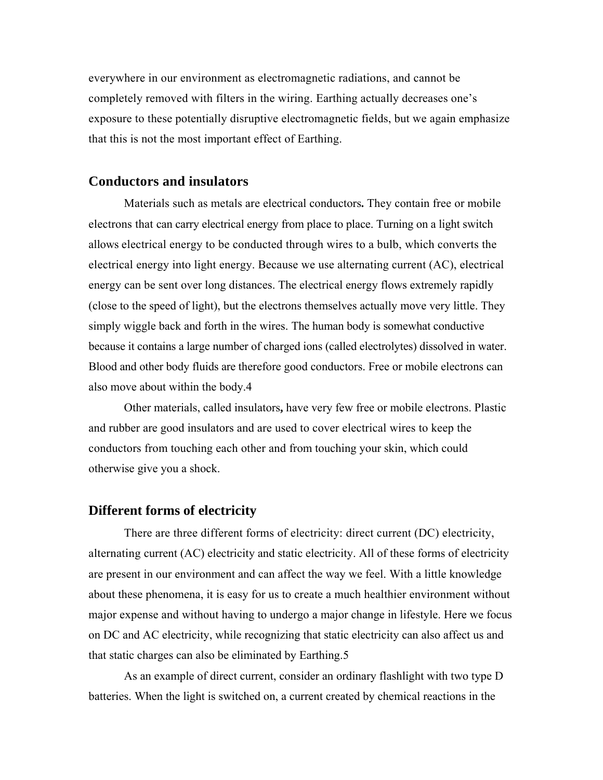everywhere in our environment as electromagnetic radiations, and cannot be completely removed with filters in the wiring. Earthing actually decreases one's exposure to these potentially disruptive electromagnetic fields, but we again emphasize that this is not the most important effect of Earthing.

### **Conductors and insulators**

Materials such as metals are electrical conductors**.** They contain free or mobile electrons that can carry electrical energy from place to place. Turning on a light switch allows electrical energy to be conducted through wires to a bulb, which converts the electrical energy into light energy. Because we use alternating current (AC), electrical energy can be sent over long distances. The electrical energy flows extremely rapidly (close to the speed of light), but the electrons themselves actually move very little. They simply wiggle back and forth in the wires. The human body is somewhat conductive because it contains a large number of charged ions (called electrolytes) dissolved in water. Blood and other body fluids are therefore good conductors. Free or mobile electrons can also move about within the body.4

Other materials, called insulators**,** have very few free or mobile electrons. Plastic and rubber are good insulators and are used to cover electrical wires to keep the conductors from touching each other and from touching your skin, which could otherwise give you a shock.

# **Different forms of electricity**

There are three different forms of electricity: direct current (DC) electricity, alternating current (AC) electricity and static electricity. All of these forms of electricity are present in our environment and can affect the way we feel. With a little knowledge about these phenomena, it is easy for us to create a much healthier environment without major expense and without having to undergo a major change in lifestyle. Here we focus on DC and AC electricity, while recognizing that static electricity can also affect us and that static charges can also be eliminated by Earthing.5

As an example of direct current, consider an ordinary flashlight with two type D batteries. When the light is switched on, a current created by chemical reactions in the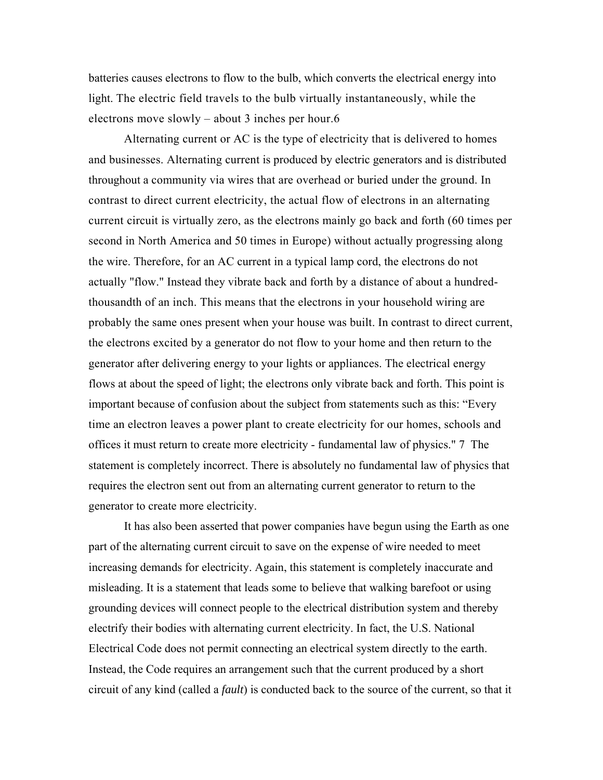batteries causes electrons to flow to the bulb, which converts the electrical energy into light. The electric field travels to the bulb virtually instantaneously, while the electrons move slowly – about 3 inches per hour.6

Alternating current or AC is the type of electricity that is delivered to homes and businesses. Alternating current is produced by electric generators and is distributed throughout a community via wires that are overhead or buried under the ground. In contrast to direct current electricity, the actual flow of electrons in an alternating current circuit is virtually zero, as the electrons mainly go back and forth (60 times per second in North America and 50 times in Europe) without actually progressing along the wire. Therefore, for an AC current in a typical lamp cord, the electrons do not actually "flow." Instead they vibrate back and forth by a distance of about a hundredthousandth of an inch. This means that the electrons in your household wiring are probably the same ones present when your house was built. In contrast to direct current, the electrons excited by a generator do not flow to your home and then return to the generator after delivering energy to your lights or appliances. The electrical energy flows at about the speed of light; the electrons only vibrate back and forth. This point is important because of confusion about the subject from statements such as this: "Every time an electron leaves a power plant to create electricity for our homes, schools and offices it must return to create more electricity - fundamental law of physics." 7 The statement is completely incorrect. There is absolutely no fundamental law of physics that requires the electron sent out from an alternating current generator to return to the generator to create more electricity.

It has also been asserted that power companies have begun using the Earth as one part of the alternating current circuit to save on the expense of wire needed to meet increasing demands for electricity. Again, this statement is completely inaccurate and misleading. It is a statement that leads some to believe that walking barefoot or using grounding devices will connect people to the electrical distribution system and thereby electrify their bodies with alternating current electricity. In fact, the U.S. National Electrical Code does not permit connecting an electrical system directly to the earth. Instead, the Code requires an arrangement such that the current produced by a short circuit of any kind (called a *fault*) is conducted back to the source of the current, so that it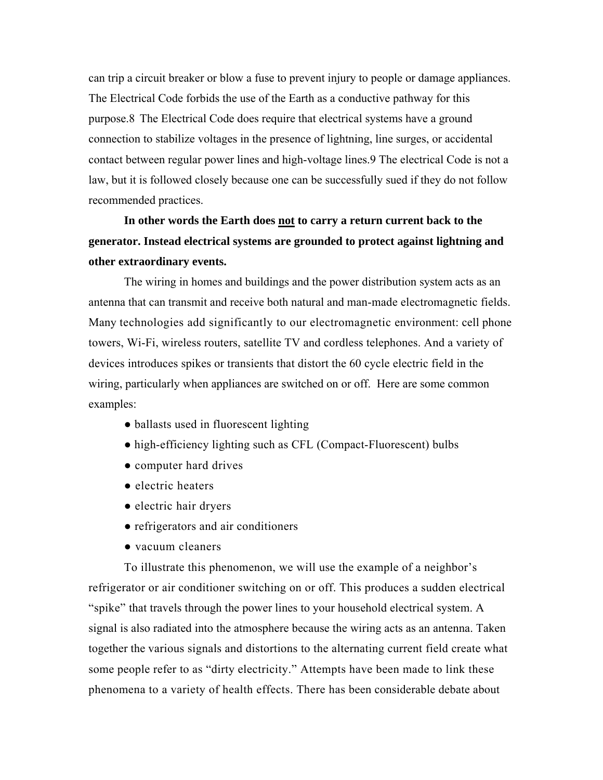can trip a circuit breaker or blow a fuse to prevent injury to people or damage appliances. The Electrical Code forbids the use of the Earth as a conductive pathway for this purpose.8 The Electrical Code does require that electrical systems have a ground connection to stabilize voltages in the presence of lightning, line surges, or accidental contact between regular power lines and high-voltage lines.9 The electrical Code is not a law, but it is followed closely because one can be successfully sued if they do not follow recommended practices.

**In other words the Earth does not to carry a return current back to the generator. Instead electrical systems are grounded to protect against lightning and other extraordinary events.** 

The wiring in homes and buildings and the power distribution system acts as an antenna that can transmit and receive both natural and man-made electromagnetic fields. Many technologies add significantly to our electromagnetic environment: cell phone towers, Wi-Fi, wireless routers, satellite TV and cordless telephones. And a variety of devices introduces spikes or transients that distort the 60 cycle electric field in the wiring, particularly when appliances are switched on or off. Here are some common examples:

- ballasts used in fluorescent lighting
- high-efficiency lighting such as CFL (Compact-Fluorescent) bulbs
- computer hard drives
- electric heaters
- electric hair dryers
- refrigerators and air conditioners
- vacuum cleaners

To illustrate this phenomenon, we will use the example of a neighbor's refrigerator or air conditioner switching on or off. This produces a sudden electrical "spike" that travels through the power lines to your household electrical system. A signal is also radiated into the atmosphere because the wiring acts as an antenna. Taken together the various signals and distortions to the alternating current field create what some people refer to as "dirty electricity." Attempts have been made to link these phenomena to a variety of health effects. There has been considerable debate about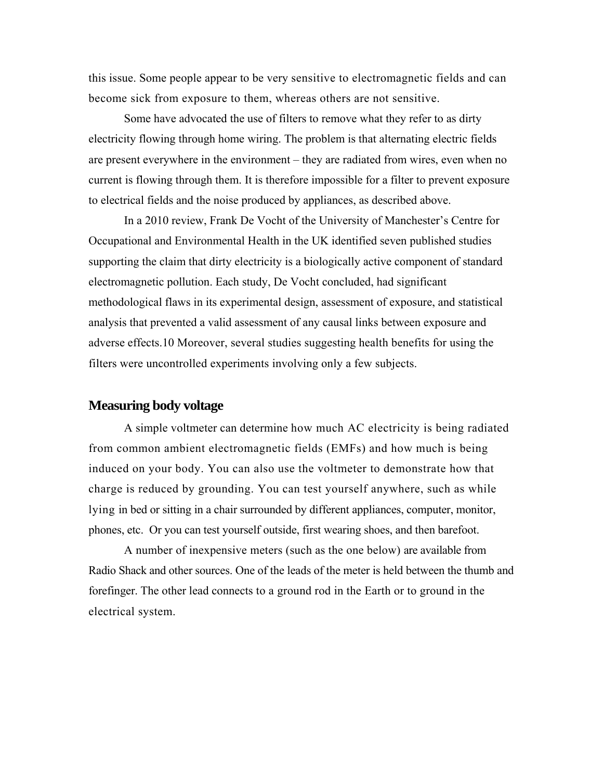this issue. Some people appear to be very sensitive to electromagnetic fields and can become sick from exposure to them, whereas others are not sensitive.

Some have advocated the use of filters to remove what they refer to as dirty electricity flowing through home wiring. The problem is that alternating electric fields are present everywhere in the environment – they are radiated from wires, even when no current is flowing through them. It is therefore impossible for a filter to prevent exposure to electrical fields and the noise produced by appliances, as described above.

In a 2010 review, Frank De Vocht of the University of Manchester's Centre for Occupational and Environmental Health in the UK identified seven published studies supporting the claim that dirty electricity is a biologically active component of standard electromagnetic pollution. Each study, De Vocht concluded, had significant methodological flaws in its experimental design, assessment of exposure, and statistical analysis that prevented a valid assessment of any causal links between exposure and adverse effects.10 Moreover, several studies suggesting health benefits for using the filters were uncontrolled experiments involving only a few subjects.

#### **Measuring body voltage**

A simple voltmeter can determine how much AC electricity is being radiated from common ambient electromagnetic fields (EMFs) and how much is being induced on your body. You can also use the voltmeter to demonstrate how that charge is reduced by grounding. You can test yourself anywhere, such as while lying in bed or sitting in a chair surrounded by different appliances, computer, monitor, phones, etc. Or you can test yourself outside, first wearing shoes, and then barefoot.

A number of inexpensive meters (such as the one below) are available from Radio Shack and other sources. One of the leads of the meter is held between the thumb and forefinger. The other lead connects to a ground rod in the Earth or to ground in the electrical system.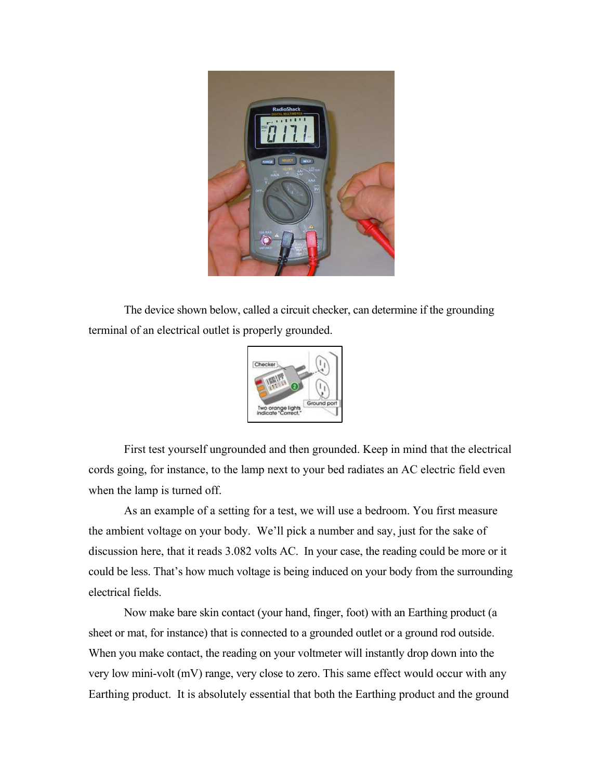

The device shown below, called a circuit checker, can determine if the grounding terminal of an electrical outlet is properly grounded.



First test yourself ungrounded and then grounded. Keep in mind that the electrical cords going, for instance, to the lamp next to your bed radiates an AC electric field even when the lamp is turned off.

As an example of a setting for a test, we will use a bedroom. You first measure the ambient voltage on your body. We'll pick a number and say, just for the sake of discussion here, that it reads 3.082 volts AC. In your case, the reading could be more or it could be less. That's how much voltage is being induced on your body from the surrounding electrical fields.

Now make bare skin contact (your hand, finger, foot) with an Earthing product (a sheet or mat, for instance) that is connected to a grounded outlet or a ground rod outside. When you make contact, the reading on your voltmeter will instantly drop down into the very low mini-volt (mV) range, very close to zero. This same effect would occur with any Earthing product. It is absolutely essential that both the Earthing product and the ground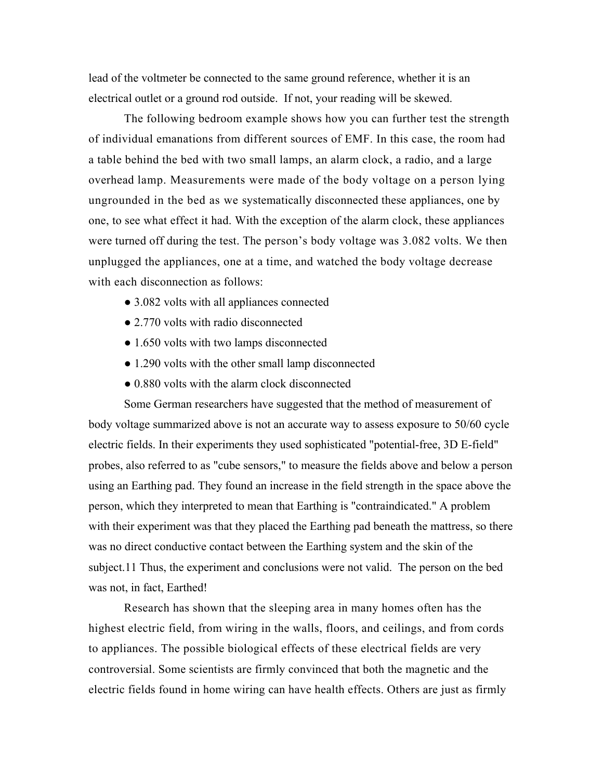lead of the voltmeter be connected to the same ground reference, whether it is an electrical outlet or a ground rod outside. If not, your reading will be skewed.

The following bedroom example shows how you can further test the strength of individual emanations from different sources of EMF. In this case, the room had a table behind the bed with two small lamps, an alarm clock, a radio, and a large overhead lamp. Measurements were made of the body voltage on a person lying ungrounded in the bed as we systematically disconnected these appliances, one by one, to see what effect it had. With the exception of the alarm clock, these appliances were turned off during the test. The person's body voltage was 3.082 volts. We then unplugged the appliances, one at a time, and watched the body voltage decrease with each disconnection as follows:

- 3.082 volts with all appliances connected
- 2.770 volts with radio disconnected
- 1.650 volts with two lamps disconnected
- 1.290 volts with the other small lamp disconnected
- 0.880 volts with the alarm clock disconnected

Some German researchers have suggested that the method of measurement of body voltage summarized above is not an accurate way to assess exposure to 50/60 cycle electric fields. In their experiments they used sophisticated "potential-free, 3D E-field" probes, also referred to as "cube sensors," to measure the fields above and below a person using an Earthing pad. They found an increase in the field strength in the space above the person, which they interpreted to mean that Earthing is "contraindicated." A problem with their experiment was that they placed the Earthing pad beneath the mattress, so there was no direct conductive contact between the Earthing system and the skin of the subject.11 Thus, the experiment and conclusions were not valid. The person on the bed was not, in fact, Earthed!

Research has shown that the sleeping area in many homes often has the highest electric field, from wiring in the walls, floors, and ceilings, and from cords to appliances. The possible biological effects of these electrical fields are very controversial. Some scientists are firmly convinced that both the magnetic and the electric fields found in home wiring can have health effects. Others are just as firmly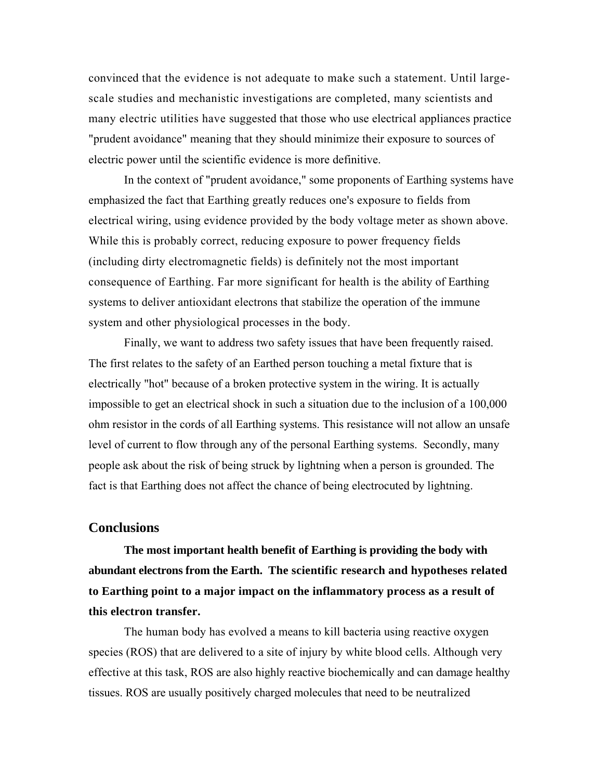convinced that the evidence is not adequate to make such a statement. Until largescale studies and mechanistic investigations are completed, many scientists and many electric utilities have suggested that those who use electrical appliances practice "prudent avoidance" meaning that they should minimize their exposure to sources of electric power until the scientific evidence is more definitive.

In the context of "prudent avoidance," some proponents of Earthing systems have emphasized the fact that Earthing greatly reduces one's exposure to fields from electrical wiring, using evidence provided by the body voltage meter as shown above. While this is probably correct, reducing exposure to power frequency fields (including dirty electromagnetic fields) is definitely not the most important consequence of Earthing. Far more significant for health is the ability of Earthing systems to deliver antioxidant electrons that stabilize the operation of the immune system and other physiological processes in the body.

Finally, we want to address two safety issues that have been frequently raised. The first relates to the safety of an Earthed person touching a metal fixture that is electrically "hot" because of a broken protective system in the wiring. It is actually impossible to get an electrical shock in such a situation due to the inclusion of a 100,000 ohm resistor in the cords of all Earthing systems. This resistance will not allow an unsafe level of current to flow through any of the personal Earthing systems. Secondly, many people ask about the risk of being struck by lightning when a person is grounded. The fact is that Earthing does not affect the chance of being electrocuted by lightning.

#### **Conclusions**

**The most important health benefit of Earthing is providing the body with abundant electrons from the Earth. The scientific research and hypotheses related to Earthing point to a major impact on the inflammatory process as a result of this electron transfer.** 

The human body has evolved a means to kill bacteria using reactive oxygen species (ROS) that are delivered to a site of injury by white blood cells. Although very effective at this task, ROS are also highly reactive biochemically and can damage healthy tissues. ROS are usually positively charged molecules that need to be neutralized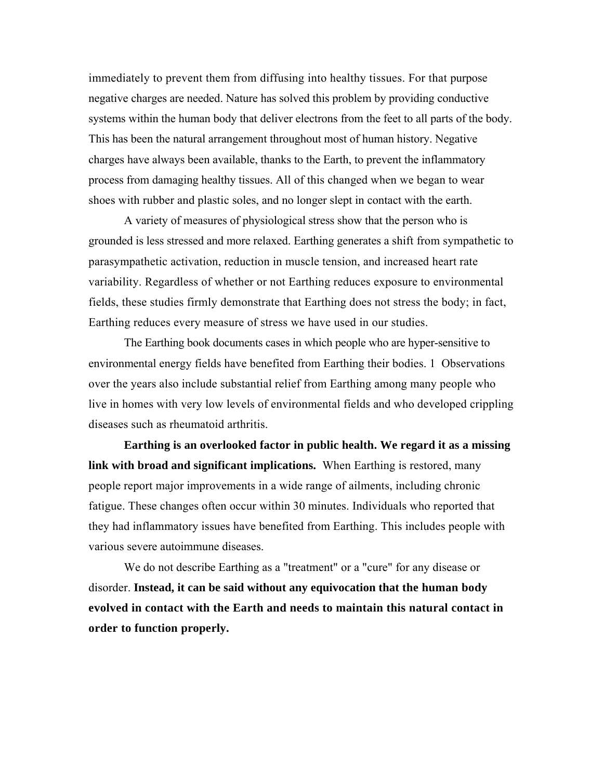immediately to prevent them from diffusing into healthy tissues. For that purpose negative charges are needed. Nature has solved this problem by providing conductive systems within the human body that deliver electrons from the feet to all parts of the body. This has been the natural arrangement throughout most of human history. Negative charges have always been available, thanks to the Earth, to prevent the inflammatory process from damaging healthy tissues. All of this changed when we began to wear shoes with rubber and plastic soles, and no longer slept in contact with the earth.

A variety of measures of physiological stress show that the person who is grounded is less stressed and more relaxed. Earthing generates a shift from sympathetic to parasympathetic activation, reduction in muscle tension, and increased heart rate variability. Regardless of whether or not Earthing reduces exposure to environmental fields, these studies firmly demonstrate that Earthing does not stress the body; in fact, Earthing reduces every measure of stress we have used in our studies.

The Earthing book documents cases in which people who are hyper-sensitive to environmental energy fields have benefited from Earthing their bodies. 1 Observations over the years also include substantial relief from Earthing among many people who live in homes with very low levels of environmental fields and who developed crippling diseases such as rheumatoid arthritis.

**Earthing is an overlooked factor in public health. We regard it as a missing link with broad and significant implications.** When Earthing is restored, many people report major improvements in a wide range of ailments, including chronic fatigue. These changes often occur within 30 minutes. Individuals who reported that they had inflammatory issues have benefited from Earthing. This includes people with various severe autoimmune diseases.

We do not describe Earthing as a "treatment" or a "cure" for any disease or disorder. **Instead, it can be said without any equivocation that the human body evolved in contact with the Earth and needs to maintain this natural contact in order to function properly.**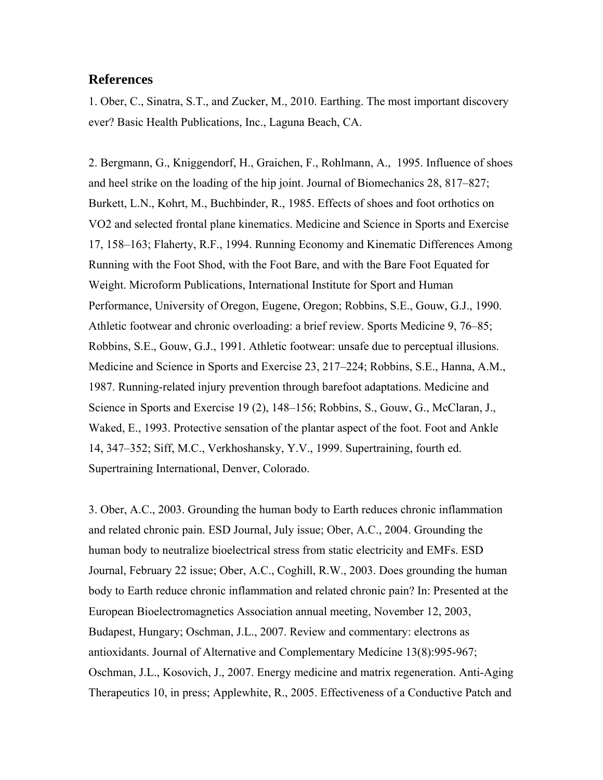## **References**

1. Ober, C., Sinatra, S.T., and Zucker, M., 2010. Earthing. The most important discovery ever? Basic Health Publications, Inc., Laguna Beach, CA.

2. Bergmann, G., Kniggendorf, H., Graichen, F., Rohlmann, A., 1995. Influence of shoes and heel strike on the loading of the hip joint. Journal of Biomechanics 28, 817–827; Burkett, L.N., Kohrt, M., Buchbinder, R., 1985. Effects of shoes and foot orthotics on VO2 and selected frontal plane kinematics. Medicine and Science in Sports and Exercise 17, 158–163; Flaherty, R.F., 1994. Running Economy and Kinematic Differences Among Running with the Foot Shod, with the Foot Bare, and with the Bare Foot Equated for Weight. Microform Publications, International Institute for Sport and Human Performance, University of Oregon, Eugene, Oregon; Robbins, S.E., Gouw, G.J., 1990. Athletic footwear and chronic overloading: a brief review. Sports Medicine 9, 76–85; Robbins, S.E., Gouw, G.J., 1991. Athletic footwear: unsafe due to perceptual illusions. Medicine and Science in Sports and Exercise 23, 217–224; Robbins, S.E., Hanna, A.M., 1987. Running-related injury prevention through barefoot adaptations. Medicine and Science in Sports and Exercise 19 (2), 148–156; Robbins, S., Gouw, G., McClaran, J., Waked, E., 1993. Protective sensation of the plantar aspect of the foot. Foot and Ankle 14, 347–352; Siff, M.C., Verkhoshansky, Y.V., 1999. Supertraining, fourth ed. Supertraining International, Denver, Colorado.

3. Ober, A.C., 2003. Grounding the human body to Earth reduces chronic inflammation and related chronic pain. ESD Journal, July issue; Ober, A.C., 2004. Grounding the human body to neutralize bioelectrical stress from static electricity and EMFs. ESD Journal, February 22 issue; Ober, A.C., Coghill, R.W., 2003. Does grounding the human body to Earth reduce chronic inflammation and related chronic pain? In: Presented at the European Bioelectromagnetics Association annual meeting, November 12, 2003, Budapest, Hungary; Oschman, J.L., 2007. Review and commentary: electrons as antioxidants. Journal of Alternative and Complementary Medicine 13(8):995-967; Oschman, J.L., Kosovich, J., 2007. Energy medicine and matrix regeneration. Anti-Aging Therapeutics 10, in press; Applewhite, R., 2005. Effectiveness of a Conductive Patch and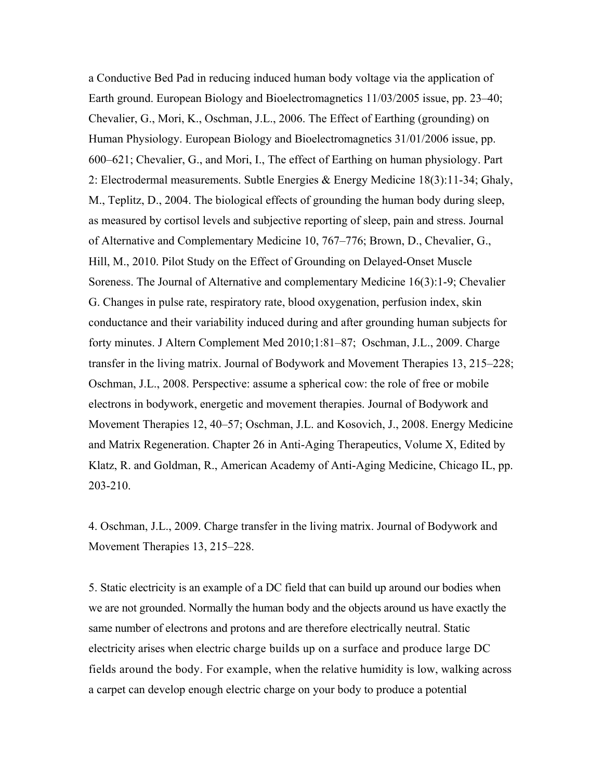a Conductive Bed Pad in reducing induced human body voltage via the application of Earth ground. European Biology and Bioelectromagnetics 11/03/2005 issue, pp. 23–40; Chevalier, G., Mori, K., Oschman, J.L., 2006. The Effect of Earthing (grounding) on Human Physiology. European Biology and Bioelectromagnetics 31/01/2006 issue, pp. 600–621; Chevalier, G., and Mori, I., The effect of Earthing on human physiology. Part 2: Electrodermal measurements. Subtle Energies & Energy Medicine 18(3):11-34; Ghaly, M., Teplitz, D., 2004. The biological effects of grounding the human body during sleep, as measured by cortisol levels and subjective reporting of sleep, pain and stress. Journal of Alternative and Complementary Medicine 10, 767–776; Brown, D., Chevalier, G., Hill, M., 2010. Pilot Study on the Effect of Grounding on Delayed-Onset Muscle Soreness. The Journal of Alternative and complementary Medicine 16(3):1-9; Chevalier G. Changes in pulse rate, respiratory rate, blood oxygenation, perfusion index, skin conductance and their variability induced during and after grounding human subjects for forty minutes. J Altern Complement Med 2010;1:81–87; Oschman, J.L., 2009. Charge transfer in the living matrix. Journal of Bodywork and Movement Therapies 13, 215–228; Oschman, J.L., 2008. Perspective: assume a spherical cow: the role of free or mobile electrons in bodywork, energetic and movement therapies. Journal of Bodywork and Movement Therapies 12, 40–57; Oschman, J.L. and Kosovich, J., 2008. Energy Medicine and Matrix Regeneration. Chapter 26 in Anti-Aging Therapeutics, Volume X, Edited by Klatz, R. and Goldman, R., American Academy of Anti-Aging Medicine, Chicago IL, pp. 203-210.

4. Oschman, J.L., 2009. Charge transfer in the living matrix. Journal of Bodywork and Movement Therapies 13, 215–228.

5. Static electricity is an example of a DC field that can build up around our bodies when we are not grounded. Normally the human body and the objects around us have exactly the same number of electrons and protons and are therefore electrically neutral. Static electricity arises when electric charge builds up on a surface and produce large DC fields around the body. For example, when the relative humidity is low, walking across a carpet can develop enough electric charge on your body to produce a potential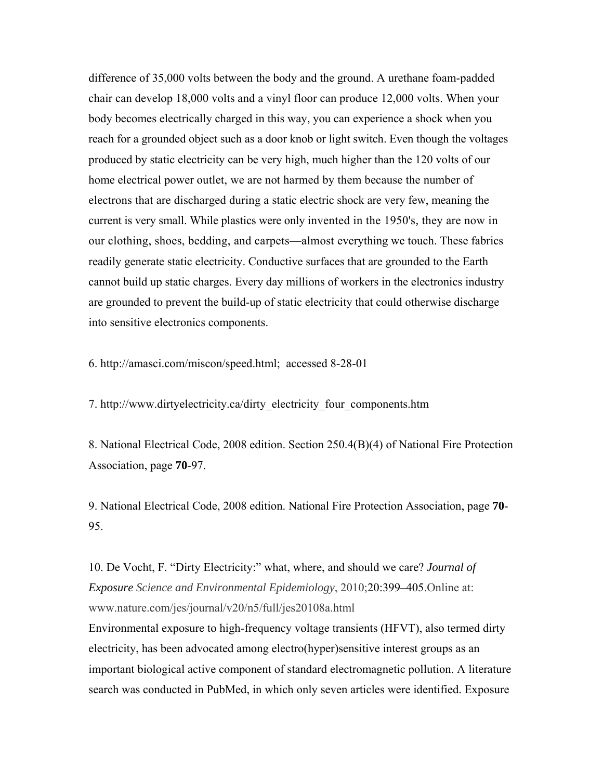difference of 35,000 volts between the body and the ground. A urethane foam-padded chair can develop 18,000 volts and a vinyl floor can produce 12,000 volts. When your body becomes electrically charged in this way, you can experience a shock when you reach for a grounded object such as a door knob or light switch. Even though the voltages produced by static electricity can be very high, much higher than the 120 volts of our home electrical power outlet, we are not harmed by them because the number of electrons that are discharged during a static electric shock are very few, meaning the current is very small. While plastics were only invented in the 1950's*,* they are now in our clothing, shoes, bedding, and carpets—almost everything we touch. These fabrics readily generate static electricity. Conductive surfaces that are grounded to the Earth cannot build up static charges. Every day millions of workers in the electronics industry are grounded to prevent the build-up of static electricity that could otherwise discharge into sensitive electronics components.

6. http://amasci.com/miscon/speed.html; accessed 8-28-01

7. http://www.dirtyelectricity.ca/dirty\_electricity\_four\_components.htm

8. National Electrical Code, 2008 edition. Section 250.4(B)(4) of National Fire Protection Association, page **70**-97.

9. National Electrical Code, 2008 edition. National Fire Protection Association, page **70**- 95.

10. De Vocht, F. "Dirty Electricity:" what, where, and should we care? *Journal of Exposure Science and Environmental Epidemiology*, 2010;20:399–405.Online at: www.nature.com/jes/journal/v20/n5/full/jes20108a.html

Environmental exposure to high-frequency voltage transients (HFVT), also termed dirty electricity, has been advocated among electro(hyper)sensitive interest groups as an important biological active component of standard electromagnetic pollution. A literature search was conducted in PubMed, in which only seven articles were identified. Exposure